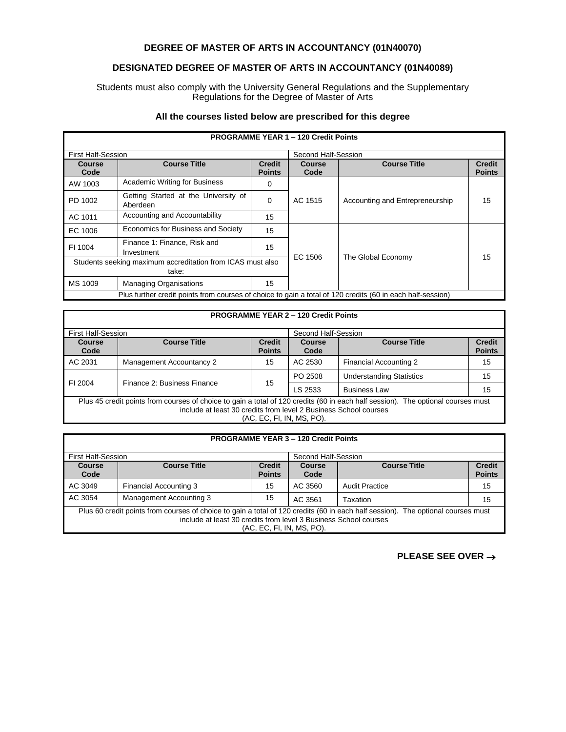## **DEGREE OF MASTER OF ARTS IN ACCOUNTANCY (01N40070)**

## **DESIGNATED DEGREE OF MASTER OF ARTS IN ACCOUNTANCY (01N40089)**

Students must also comply with the University General Regulations and the Supplementary Regulations for the Degree of Master of Arts

## **All the courses listed below are prescribed for this degree**

| <b>PROGRAMME YEAR 1 - 120 Credit Points</b>                                                                |                                                  |                                |                     |                                 |                                |
|------------------------------------------------------------------------------------------------------------|--------------------------------------------------|--------------------------------|---------------------|---------------------------------|--------------------------------|
| <b>First Half-Session</b>                                                                                  |                                                  |                                | Second Half-Session |                                 |                                |
| Course<br>Code                                                                                             | <b>Course Title</b>                              | <b>Credit</b><br><b>Points</b> | Course<br>Code      | <b>Course Title</b>             | <b>Credit</b><br><b>Points</b> |
| AW 1003                                                                                                    | <b>Academic Writing for Business</b>             | 0                              | AC 1515             | Accounting and Entrepreneurship | 15                             |
| PD 1002                                                                                                    | Getting Started at the University of<br>Aberdeen | $\Omega$                       |                     |                                 |                                |
| AC 1011                                                                                                    | Accounting and Accountability                    | 15                             |                     |                                 |                                |
| EC 1006                                                                                                    | Economics for Business and Society               | 15                             |                     |                                 | 15                             |
| FI 1004                                                                                                    | Finance 1: Finance, Risk and<br>Investment       | 15                             |                     |                                 |                                |
| Students seeking maximum accreditation from ICAS must also                                                 |                                                  |                                | EC 1506             | The Global Economy              |                                |
| take:                                                                                                      |                                                  |                                |                     |                                 |                                |
| MS 1009                                                                                                    | <b>Managing Organisations</b>                    | 15                             |                     |                                 |                                |
| Plus further credit points from courses of choice to gain a total of 120 credits (60 in each half-session) |                                                  |                                |                     |                                 |                                |

| <b>PROGRAMME YEAR 2 - 120 Credit Points</b> |
|---------------------------------------------|
|---------------------------------------------|

| <b>First Half-Session</b>                                                                                                                                                                                                         |                             | Second Half-Session            |                       |                                 |                                |
|-----------------------------------------------------------------------------------------------------------------------------------------------------------------------------------------------------------------------------------|-----------------------------|--------------------------------|-----------------------|---------------------------------|--------------------------------|
| <b>Course</b><br>Code                                                                                                                                                                                                             | <b>Course Title</b>         | <b>Credit</b><br><b>Points</b> | <b>Course</b><br>Code | <b>Course Title</b>             | <b>Credit</b><br><b>Points</b> |
| AC 2031                                                                                                                                                                                                                           | Management Accountancy 2    | 15                             | AC 2530               | <b>Financial Accounting 2</b>   | 15                             |
| FI 2004                                                                                                                                                                                                                           | Finance 2: Business Finance | 15                             | PO 2508               | <b>Understanding Statistics</b> | 15                             |
|                                                                                                                                                                                                                                   |                             |                                | LS 2533               | <b>Business Law</b>             | 15                             |
| Plus 45 credit points from courses of choice to gain a total of 120 credits (60 in each half session). The optional courses must<br>include at least 30 credits from level 2 Business School courses<br>(AC, EC, FI, IN, MS, PO). |                             |                                |                       |                                 |                                |

| <b>PROGRAMME YEAR 3 - 120 Credit Points</b>                                                                                                                                                                                       |                         |                                |                       |                       |                                |
|-----------------------------------------------------------------------------------------------------------------------------------------------------------------------------------------------------------------------------------|-------------------------|--------------------------------|-----------------------|-----------------------|--------------------------------|
| <b>First Half-Session</b>                                                                                                                                                                                                         |                         |                                | Second Half-Session   |                       |                                |
| <b>Course</b><br>Code                                                                                                                                                                                                             | <b>Course Title</b>     | <b>Credit</b><br><b>Points</b> | <b>Course</b><br>Code | <b>Course Title</b>   | <b>Credit</b><br><b>Points</b> |
| AC 3049                                                                                                                                                                                                                           | Financial Accounting 3  | 15                             | AC 3560               | <b>Audit Practice</b> | 15                             |
| AC 3054                                                                                                                                                                                                                           | Management Accounting 3 | 15                             | AC 3561               | Taxation              | 15                             |
| Plus 60 credit points from courses of choice to gain a total of 120 credits (60 in each half session). The optional courses must<br>include at least 30 credits from level 3 Business School courses<br>(AC, EC, FI, IN, MS, PO). |                         |                                |                       |                       |                                |

**PLEASE SEE OVER** →